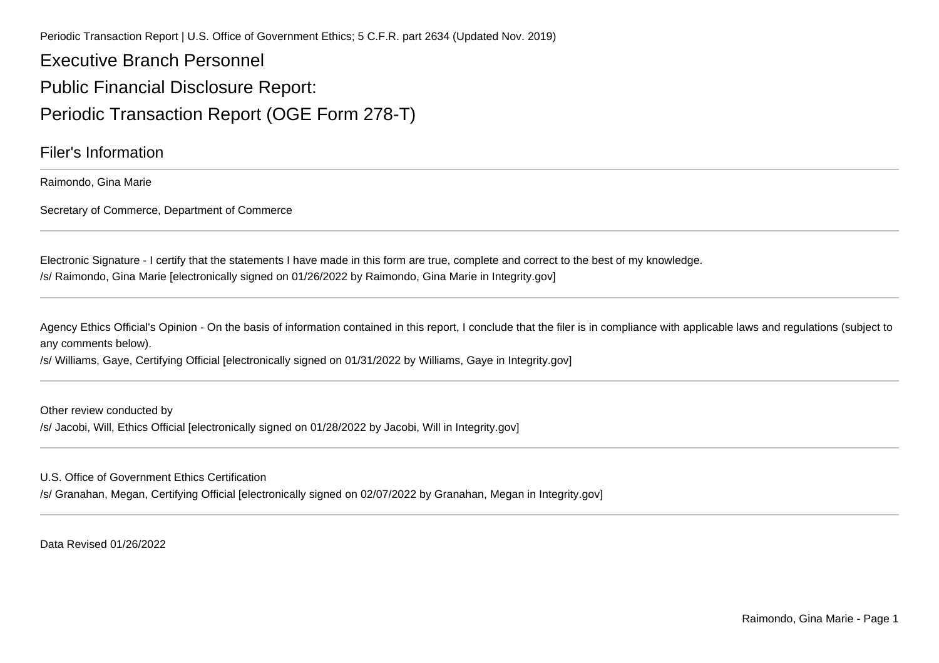Periodic Transaction Report | U.S. Office of Government Ethics; 5 C.F.R. part 2634 (Updated Nov. 2019)

Executive Branch PersonnelPublic Financial Disclosure Report:Periodic Transaction Report (OGE Form 278-T)

Filer's Information

Raimondo, Gina Marie

Secretary of Commerce, Department of Commerce

Electronic Signature - I certify that the statements I have made in this form are true, complete and correct to the best of my knowledge./s/ Raimondo, Gina Marie [electronically signed on 01/26/2022 by Raimondo, Gina Marie in Integrity.gov]

Agency Ethics Official's Opinion - On the basis of information contained in this report, I conclude that the filer is in compliance with applicable laws and regulations (subject to any comments below).

/s/ Williams, Gaye, Certifying Official [electronically signed on 01/31/2022 by Williams, Gaye in Integrity.gov]

Other review conducted by/s/ Jacobi, Will, Ethics Official [electronically signed on 01/28/2022 by Jacobi, Will in Integrity.gov]

U.S. Office of Government Ethics Certification

/s/ Granahan, Megan, Certifying Official [electronically signed on 02/07/2022 by Granahan, Megan in Integrity.gov]

Data Revised 01/26/2022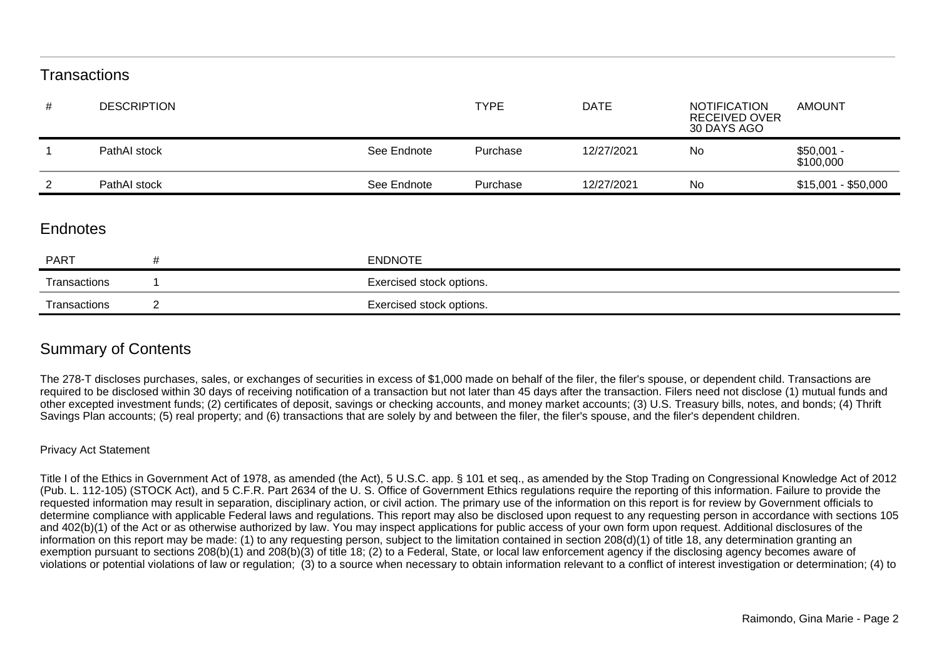## **Transactions**

| #               | <b>DESCRIPTION</b> |                | <b>TYPE</b>              | <b>DATE</b> | <b>NOTIFICATION</b><br><b>RECEIVED OVER</b><br>30 DAYS AGO | <b>AMOUNT</b>            |  |
|-----------------|--------------------|----------------|--------------------------|-------------|------------------------------------------------------------|--------------------------|--|
|                 | PathAI stock       | See Endnote    | Purchase                 | 12/27/2021  | No                                                         | $$50,001 -$<br>\$100,000 |  |
| 2               | PathAI stock       | See Endnote    | Purchase                 | 12/27/2021  | No                                                         | $$15,001 - $50,000$      |  |
| <b>Endnotes</b> |                    |                |                          |             |                                                            |                          |  |
| <b>PART</b>     | #                  | <b>ENDNOTE</b> |                          |             |                                                            |                          |  |
| Transactions    |                    |                | Exercised stock options. |             |                                                            |                          |  |
| Transactions    | 2                  |                | Exercised stock options. |             |                                                            |                          |  |

## Summary of Contents

The 278-T discloses purchases, sales, or exchanges of securities in excess of \$1,000 made on behalf of the filer, the filer's spouse, or dependent child. Transactions are required to be disclosed within 30 days of receiving notification of a transaction but not later than 45 days after the transaction. Filers need not disclose (1) mutual funds and other excepted investment funds; (2) certificates of deposit, savings or checking accounts, and money market accounts; (3) U.S. Treasury bills, notes, and bonds; (4) ThriftSavings Plan accounts; (5) real property; and (6) transactions that are solely by and between the filer, the filer's spouse, and the filer's dependent children.

## Privacy Act Statement

Title I of the Ethics in Government Act of 1978, as amended (the Act), 5 U.S.C. app. § 101 et seq., as amended by the Stop Trading on Congressional Knowledge Act of 2012(Pub. L. 112-105) (STOCK Act), and 5 C.F.R. Part 2634 of the U. S. Office of Government Ethics regulations require the reporting of this information. Failure to provide the requested information may result in separation, disciplinary action, or civil action. The primary use of the information on this report is for review by Government officials to determine compliance with applicable Federal laws and regulations. This report may also be disclosed upon request to any requesting person in accordance with sections 105and 402(b)(1) of the Act or as otherwise authorized by law. You may inspect applications for public access of your own form upon request. Additional disclosures of the information on this report may be made: (1) to any requesting person, subject to the limitation contained in section 208(d)(1) of title 18, any determination granting an exemption pursuant to sections 208(b)(1) and 208(b)(3) of title 18; (2) to a Federal, State, or local law enforcement agency if the disclosing agency becomes aware ofviolations or potential violations of law or regulation; (3) to a source when necessary to obtain information relevant to a conflict of interest investigation or determination; (4) to